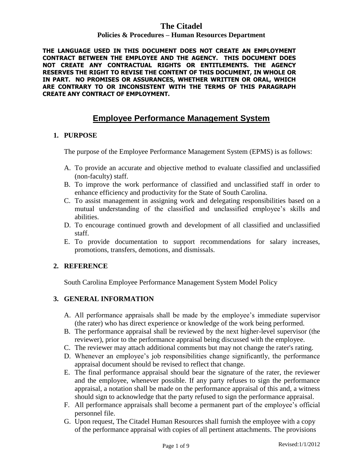#### **Policies & Procedures – Human Resources Department**

**THE LANGUAGE USED IN THIS DOCUMENT DOES NOT CREATE AN EMPLOYMENT CONTRACT BETWEEN THE EMPLOYEE AND THE AGENCY. THIS DOCUMENT DOES NOT CREATE ANY CONTRACTUAL RIGHTS OR ENTITLEMENTS. THE AGENCY RESERVES THE RIGHT TO REVISE THE CONTENT OF THIS DOCUMENT, IN WHOLE OR IN PART. NO PROMISES OR ASSURANCES, WHETHER WRITTEN OR ORAL, WHICH ARE CONTRARY TO OR INCONSISTENT WITH THE TERMS OF THIS PARAGRAPH CREATE ANY CONTRACT OF EMPLOYMENT.**

# **Employee Performance Management System**

### **1. PURPOSE**

The purpose of the Employee Performance Management System (EPMS) is as follows:

- A. To provide an accurate and objective method to evaluate classified and unclassified (non-faculty) staff.
- B. To improve the work performance of classified and unclassified staff in order to enhance efficiency and productivity for the State of South Carolina.
- C. To assist management in assigning work and delegating responsibilities based on a mutual understanding of the classified and unclassified employee's skills and abilities.
- D. To encourage continued growth and development of all classified and unclassified staff.
- E. To provide documentation to support recommendations for salary increases, promotions, transfers, demotions, and dismissals.

### **2. REFERENCE**

South Carolina Employee Performance Management System Model Policy

## **3. GENERAL INFORMATION**

- A. All performance appraisals shall be made by the employee's immediate supervisor (the rater) who has direct experience or knowledge of the work being performed.
- B. The performance appraisal shall be reviewed by the next higher-level supervisor (the reviewer), prior to the performance appraisal being discussed with the employee.
- C. The reviewer may attach additional comments but may not change the rater's rating.
- D. Whenever an employee's job responsibilities change significantly, the performance appraisal document should be revised to reflect that change.
- E. The final performance appraisal should bear the signature of the rater, the reviewer and the employee, whenever possible. If any party refuses to sign the performance appraisal, a notation shall be made on the performance appraisal of this and, a witness should sign to acknowledge that the party refused to sign the performance appraisal.
- F. All performance appraisals shall become a permanent part of the employee's official personnel file.
- G. Upon request, The Citadel Human Resources shall furnish the employee with a copy of the performance appraisal with copies of all pertinent attachments. The provisions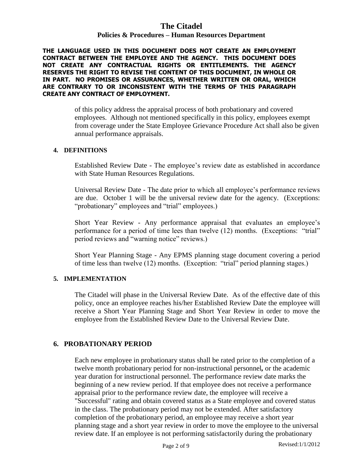#### **Policies & Procedures – Human Resources Department**

**THE LANGUAGE USED IN THIS DOCUMENT DOES NOT CREATE AN EMPLOYMENT CONTRACT BETWEEN THE EMPLOYEE AND THE AGENCY. THIS DOCUMENT DOES NOT CREATE ANY CONTRACTUAL RIGHTS OR ENTITLEMENTS. THE AGENCY RESERVES THE RIGHT TO REVISE THE CONTENT OF THIS DOCUMENT, IN WHOLE OR IN PART. NO PROMISES OR ASSURANCES, WHETHER WRITTEN OR ORAL, WHICH ARE CONTRARY TO OR INCONSISTENT WITH THE TERMS OF THIS PARAGRAPH CREATE ANY CONTRACT OF EMPLOYMENT.**

> of this policy address the appraisal process of both probationary and covered employees. Although not mentioned specifically in this policy, employees exempt from coverage under the State Employee Grievance Procedure Act shall also be given annual performance appraisals.

#### **4. DEFINITIONS**

Established Review Date - The employee's review date as established in accordance with State Human Resources Regulations.

Universal Review Date - The date prior to which all employee's performance reviews are due. October 1 will be the universal review date for the agency. (Exceptions: "probationary" employees and "trial" employees.)

Short Year Review - Any performance appraisal that evaluates an employee's performance for a period of time lees than twelve (12) months. (Exceptions: "trial" period reviews and "warning notice" reviews.)

Short Year Planning Stage - Any EPMS planning stage document covering a period of time less than twelve (12) months. (Exception: "trial" period planning stages.)

### **5. IMPLEMENTATION**

The Citadel will phase in the Universal Review Date. As of the effective date of this policy, once an employee reaches his/her Established Review Date the employee will receive a Short Year Planning Stage and Short Year Review in order to move the employee from the Established Review Date to the Universal Review Date.

### **6. PROBATIONARY PERIOD**

Each new employee in probationary status shall be rated prior to the completion of a twelve month probationary period for non-instructional personnel*,* or the academic year duration for instructional personnel. The performance review date marks the beginning of a new review period. If that employee does not receive a performance appraisal prior to the performance review date, the employee will receive a "Successful" rating and obtain covered status as a State employee and covered status in the class. The probationary period may not be extended. After satisfactory completion of the probationary period, an employee may receive a short year planning stage and a short year review in order to move the employee to the universal review date. If an employee is not performing satisfactorily during the probationary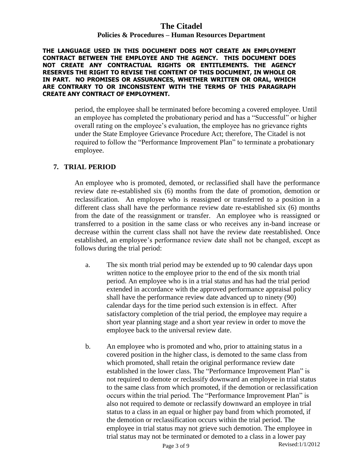#### **Policies & Procedures – Human Resources Department**

**THE LANGUAGE USED IN THIS DOCUMENT DOES NOT CREATE AN EMPLOYMENT CONTRACT BETWEEN THE EMPLOYEE AND THE AGENCY. THIS DOCUMENT DOES NOT CREATE ANY CONTRACTUAL RIGHTS OR ENTITLEMENTS. THE AGENCY RESERVES THE RIGHT TO REVISE THE CONTENT OF THIS DOCUMENT, IN WHOLE OR IN PART. NO PROMISES OR ASSURANCES, WHETHER WRITTEN OR ORAL, WHICH ARE CONTRARY TO OR INCONSISTENT WITH THE TERMS OF THIS PARAGRAPH CREATE ANY CONTRACT OF EMPLOYMENT.**

> period, the employee shall be terminated before becoming a covered employee. Until an employee has completed the probationary period and has a "Successful" or higher overall rating on the employee's evaluation, the employee has no grievance rights under the State Employee Grievance Procedure Act; therefore, The Citadel is not required to follow the "Performance Improvement Plan" to terminate a probationary employee.

### **7. TRIAL PERIOD**

An employee who is promoted, demoted, or reclassified shall have the performance review date re-established six (6) months from the date of promotion, demotion or reclassification. An employee who is reassigned or transferred to a position in a different class shall have the performance review date re-established six (6) months from the date of the reassignment or transfer. An employee who is reassigned or transferred to a position in the same class or who receives any in-band increase or decrease within the current class shall not have the review date reestablished. Once established, an employee's performance review date shall not be changed, except as follows during the trial period:

- a. The six month trial period may be extended up to 90 calendar days upon written notice to the employee prior to the end of the six month trial period. An employee who is in a trial status and has had the trial period extended in accordance with the approved performance appraisal policy shall have the performance review date advanced up to ninety (90) calendar days for the time period such extension is in effect. After satisfactory completion of the trial period, the employee may require a short year planning stage and a short year review in order to move the employee back to the universal review date.
- b. An employee who is promoted and who, prior to attaining status in a covered position in the higher class, is demoted to the same class from which promoted, shall retain the original performance review date established in the lower class. The "Performance Improvement Plan" is not required to demote or reclassify downward an employee in trial status to the same class from which promoted, if the demotion or reclassification occurs within the trial period. The "Performance Improvement Plan" is also not required to demote or reclassify downward an employee in trial status to a class in an equal or higher pay band from which promoted, if the demotion or reclassification occurs within the trial period. The employee in trial status may not grieve such demotion. The employee in trial status may not be terminated or demoted to a class in a lower pay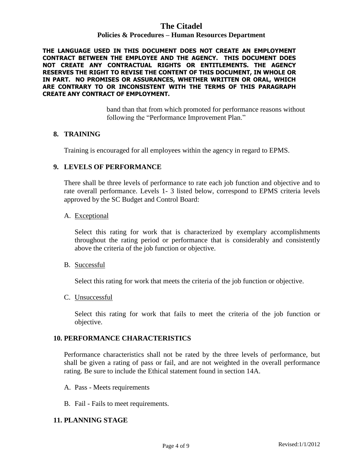#### **Policies & Procedures – Human Resources Department**

**THE LANGUAGE USED IN THIS DOCUMENT DOES NOT CREATE AN EMPLOYMENT CONTRACT BETWEEN THE EMPLOYEE AND THE AGENCY. THIS DOCUMENT DOES NOT CREATE ANY CONTRACTUAL RIGHTS OR ENTITLEMENTS. THE AGENCY RESERVES THE RIGHT TO REVISE THE CONTENT OF THIS DOCUMENT, IN WHOLE OR IN PART. NO PROMISES OR ASSURANCES, WHETHER WRITTEN OR ORAL, WHICH ARE CONTRARY TO OR INCONSISTENT WITH THE TERMS OF THIS PARAGRAPH CREATE ANY CONTRACT OF EMPLOYMENT.**

> band than that from which promoted for performance reasons without following the "Performance Improvement Plan."

#### **8. TRAINING**

Training is encouraged for all employees within the agency in regard to EPMS.

#### **9. LEVELS OF PERFORMANCE**

There shall be three levels of performance to rate each job function and objective and to rate overall performance. Levels 1- 3 listed below, correspond to EPMS criteria levels approved by the SC Budget and Control Board:

#### A. Exceptional

Select this rating for work that is characterized by exemplary accomplishments throughout the rating period or performance that is considerably and consistently above the criteria of the job function or objective.

#### B. Successful

Select this rating for work that meets the criteria of the job function or objective.

#### C. Unsuccessful

Select this rating for work that fails to meet the criteria of the job function or objective.

### **10. PERFORMANCE CHARACTERISTICS**

Performance characteristics shall not be rated by the three levels of performance, but shall be given a rating of pass or fail, and are not weighted in the overall performance rating. Be sure to include the Ethical statement found in section 14A.

- A. Pass Meets requirements
- B. Fail Fails to meet requirements.

### **11. PLANNING STAGE**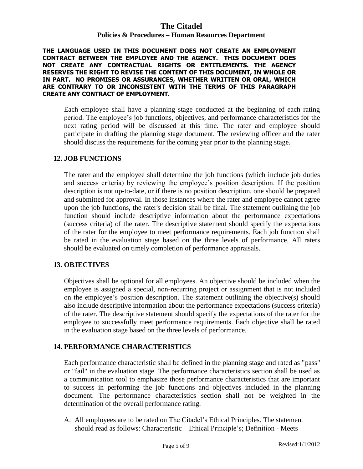#### **Policies & Procedures – Human Resources Department**

#### **THE LANGUAGE USED IN THIS DOCUMENT DOES NOT CREATE AN EMPLOYMENT CONTRACT BETWEEN THE EMPLOYEE AND THE AGENCY. THIS DOCUMENT DOES NOT CREATE ANY CONTRACTUAL RIGHTS OR ENTITLEMENTS. THE AGENCY RESERVES THE RIGHT TO REVISE THE CONTENT OF THIS DOCUMENT, IN WHOLE OR IN PART. NO PROMISES OR ASSURANCES, WHETHER WRITTEN OR ORAL, WHICH ARE CONTRARY TO OR INCONSISTENT WITH THE TERMS OF THIS PARAGRAPH CREATE ANY CONTRACT OF EMPLOYMENT.**

Each employee shall have a planning stage conducted at the beginning of each rating period. The employee's job functions, objectives, and performance characteristics for the next rating period will be discussed at this time. The rater and employee should participate in drafting the planning stage document. The reviewing officer and the rater should discuss the requirements for the coming year prior to the planning stage.

### **12. JOB FUNCTIONS**

The rater and the employee shall determine the job functions (which include job duties and success criteria) by reviewing the employee's position description. If the position description is not up-to-date, or if there is no position description, one should be prepared and submitted for approval. In those instances where the rater and employee cannot agree upon the job functions, the rater's decision shall be final. The statement outlining the job function should include descriptive information about the performance expectations (success criteria) of the rater. The descriptive statement should specify the expectations of the rater for the employee to meet performance requirements. Each job function shall be rated in the evaluation stage based on the three levels of performance. All raters should be evaluated on timely completion of performance appraisals.

### **13. OBJECTIVES**

Objectives shall be optional for all employees. An objective should be included when the employee is assigned a special, non-recurring project or assignment that is not included on the employee's position description. The statement outlining the objective(s) should also include descriptive information about the performance expectations (success criteria) of the rater. The descriptive statement should specify the expectations of the rater for the employee to successfully meet performance requirements. Each objective shall be rated in the evaluation stage based on the three levels of performance.

### **14. PERFORMANCE CHARACTERISTICS**

Each performance characteristic shall be defined in the planning stage and rated as "pass" or "fail" in the evaluation stage. The performance characteristics section shall be used as a communication tool to emphasize those performance characteristics that are important to success in performing the job functions and objectives included in the planning document. The performance characteristics section shall not be weighted in the determination of the overall performance rating.

A. All employees are to be rated on The Citadel's Ethical Principles. The statement should read as follows: Characteristic – Ethical Principle's; Definition - Meets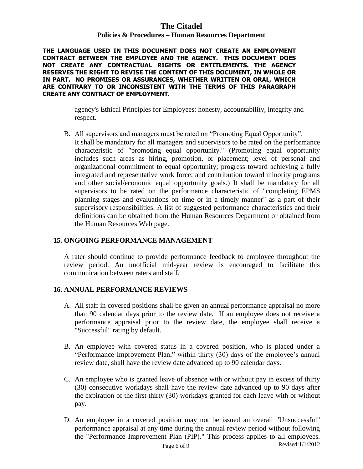### **Policies & Procedures – Human Resources Department**

**THE LANGUAGE USED IN THIS DOCUMENT DOES NOT CREATE AN EMPLOYMENT CONTRACT BETWEEN THE EMPLOYEE AND THE AGENCY. THIS DOCUMENT DOES NOT CREATE ANY CONTRACTUAL RIGHTS OR ENTITLEMENTS. THE AGENCY RESERVES THE RIGHT TO REVISE THE CONTENT OF THIS DOCUMENT, IN WHOLE OR IN PART. NO PROMISES OR ASSURANCES, WHETHER WRITTEN OR ORAL, WHICH ARE CONTRARY TO OR INCONSISTENT WITH THE TERMS OF THIS PARAGRAPH CREATE ANY CONTRACT OF EMPLOYMENT.**

> agency's Ethical Principles for Employees: honesty, accountability, integrity and respect.

B. All supervisors and managers must be rated on "Promoting Equal Opportunity". It shall be mandatory for all managers and supervisors to be rated on the performance characteristic of "promoting equal opportunity." (Promoting equal opportunity includes such areas as hiring, promotion, or placement; level of personal and organizational commitment to equal opportunity; progress toward achieving a fully integrated and representative work force; and contribution toward minority programs and other social/economic equal opportunity goals.) It shall be mandatory for all supervisors to be rated on the performance characteristic of "completing EPMS planning stages and evaluations on time or in a timely manner" as a part of their supervisory responsibilities. A list of suggested performance characteristics and their definitions can be obtained from the Human Resources Department or obtained from the Human Resources Web page.

### **15. ONGOING PERFORMANCE MANAGEMENT**

A rater should continue to provide performance feedback to employee throughout the review period. An unofficial mid-year review is encouraged to facilitate this communication between raters and staff.

### **16. ANNUAL PERFORMANCE REVIEWS**

- A. All staff in covered positions shall be given an annual performance appraisal no more than 90 calendar days prior to the review date. If an employee does not receive a performance appraisal prior to the review date, the employee shall receive a "Successful" rating by default.
- B. An employee with covered status in a covered position, who is placed under a "Performance Improvement Plan," within thirty (30) days of the employee's annual review date, shall have the review date advanced up to 90 calendar days.
- C. An employee who is granted leave of absence with or without pay in excess of thirty (30) consecutive workdays shall have the review date advanced up to 90 days after the expiration of the first thirty (30) workdays granted for each leave with or without pay.
- Page 6 of 9 Revised: $1/1/2012$ D. An employee in a covered position may not be issued an overall "Unsuccessful" performance appraisal at any time during the annual review period without following the "Performance Improvement Plan (PIP)." This process applies to all employees.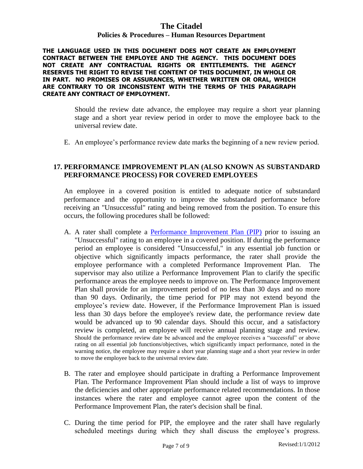#### **Policies & Procedures – Human Resources Department**

**THE LANGUAGE USED IN THIS DOCUMENT DOES NOT CREATE AN EMPLOYMENT CONTRACT BETWEEN THE EMPLOYEE AND THE AGENCY. THIS DOCUMENT DOES NOT CREATE ANY CONTRACTUAL RIGHTS OR ENTITLEMENTS. THE AGENCY RESERVES THE RIGHT TO REVISE THE CONTENT OF THIS DOCUMENT, IN WHOLE OR IN PART. NO PROMISES OR ASSURANCES, WHETHER WRITTEN OR ORAL, WHICH ARE CONTRARY TO OR INCONSISTENT WITH THE TERMS OF THIS PARAGRAPH CREATE ANY CONTRACT OF EMPLOYMENT.**

> Should the review date advance, the employee may require a short year planning stage and a short year review period in order to move the employee back to the universal review date.

E. An employee's performance review date marks the beginning of a new review period.

### **17. PERFORMANCE IMPROVEMENT PLAN (ALSO KNOWN AS SUBSTANDARD PERFORMANCE PROCESS) FOR COVERED EMPLOYEES**

An employee in a covered position is entitled to adequate notice of substandard performance and the opportunity to improve the substandard performance before receiving an "Unsuccessful" rating and being removed from the position. To ensure this occurs, the following procedures shall be followed:

- A. A rater shall complete a [Performance Improvement Plan \(PIP\)](http://www.citadel.edu/hr/forms/pip_frm.pdf) prior to issuing an "Unsuccessful" rating to an employee in a covered position. If during the performance period an employee is considered "Unsuccessful," in any essential job function or objective which significantly impacts performance, the rater shall provide the employee performance with a completed Performance Improvement Plan. The supervisor may also utilize a Performance Improvement Plan to clarify the specific performance areas the employee needs to improve on. The Performance Improvement Plan shall provide for an improvement period of no less than 30 days and no more than 90 days. Ordinarily, the time period for PIP may not extend beyond the employee's review date. However, if the Performance Improvement Plan is issued less than 30 days before the employee's review date, the performance review date would be advanced up to 90 calendar days. Should this occur, and a satisfactory review is completed, an employee will receive annual planning stage and review. Should the performance review date be advanced and the employee receives a "successful" or above rating on all essential job functions/objectives, which significantly impact performance, noted in the warning notice, the employee may require a short year planning stage and a short year review in order to move the employee back to the universal review date.
- B. The rater and employee should participate in drafting a Performance Improvement Plan. The Performance Improvement Plan should include a list of ways to improve the deficiencies and other appropriate performance related recommendations. In those instances where the rater and employee cannot agree upon the content of the Performance Improvement Plan, the rater's decision shall be final.
- C. During the time period for PIP, the employee and the rater shall have regularly scheduled meetings during which they shall discuss the employee's progress.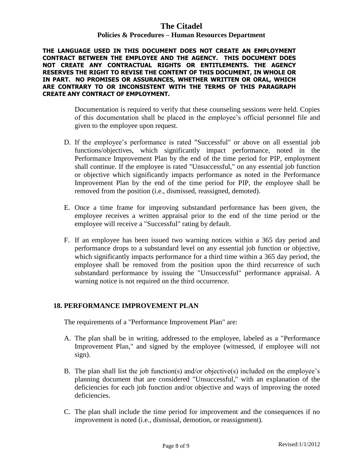#### **Policies & Procedures – Human Resources Department**

**THE LANGUAGE USED IN THIS DOCUMENT DOES NOT CREATE AN EMPLOYMENT CONTRACT BETWEEN THE EMPLOYEE AND THE AGENCY. THIS DOCUMENT DOES NOT CREATE ANY CONTRACTUAL RIGHTS OR ENTITLEMENTS. THE AGENCY RESERVES THE RIGHT TO REVISE THE CONTENT OF THIS DOCUMENT, IN WHOLE OR IN PART. NO PROMISES OR ASSURANCES, WHETHER WRITTEN OR ORAL, WHICH ARE CONTRARY TO OR INCONSISTENT WITH THE TERMS OF THIS PARAGRAPH CREATE ANY CONTRACT OF EMPLOYMENT.**

> Documentation is required to verify that these counseling sessions were held. Copies of this documentation shall be placed in the employee's official personnel file and given to the employee upon request.

- D. If the employee's performance is rated "Successful" or above on all essential job functions/objectives, which significantly impact performance, noted in the Performance Improvement Plan by the end of the time period for PIP, employment shall continue. If the employee is rated "Unsuccessful," on any essential job function or objective which significantly impacts performance as noted in the Performance Improvement Plan by the end of the time period for PIP, the employee shall be removed from the position (i.e., dismissed, reassigned, demoted).
- E. Once a time frame for improving substandard performance has been given, the employee receives a written appraisal prior to the end of the time period or the employee will receive a "Successful" rating by default.
- F. If an employee has been issued two warning notices within a 365 day period and performance drops to a substandard level on any essential job function or objective, which significantly impacts performance for a third time within a 365 day period, the employee shall be removed from the position upon the third recurrence of such substandard performance by issuing the "Unsuccessful" performance appraisal. A warning notice is not required on the third occurrence.

### **18. PERFORMANCE IMPROVEMENT PLAN**

The requirements of a "Performance Improvement Plan" are:

- A. The plan shall be in writing, addressed to the employee, labeled as a "Performance Improvement Plan," and signed by the employee (witnessed, if employee will not sign).
- B. The plan shall list the job function(s) and/or objective(s) included on the employee's planning document that are considered "Unsuccessful," with an explanation of the deficiencies for each job function and/or objective and ways of improving the noted deficiencies.
- C. The plan shall include the time period for improvement and the consequences if no improvement is noted (i.e., dismissal, demotion, or reassignment).